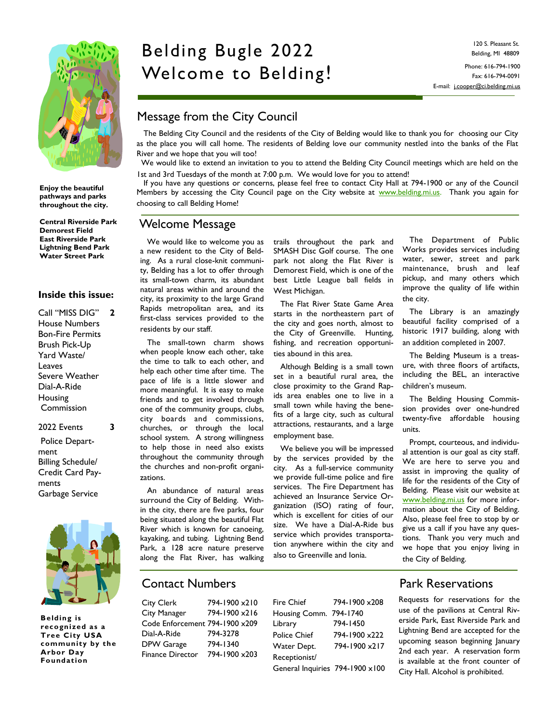

**Enjoy the beautiful pathways and parks throughout the city.**

**Central Riverside Park Demorest Field East Riverside Park Lightning Bend Park Water Street Park**

#### **Inside this issue:**

Call "MISS DIG" House Numbers Bon-Fire Permits Brush Pick-Up Yard Waste/ Leaves Severe Weather Dial-A-Ride Housing Commission **2**

2022 Events Police Department Billing Schedule/ Credit Card Payments Garbage Service

**3**



**Belding is recognized as a Tree City USA community by the Arbor Day Foundation**

# Belding Bugle 2022 Welcome to Belding!

120 S. Pleasant St. Belding, MI 48809 Phone: 616-794-1900

Fax: 616-794-0091 E-mail: j.cooper@ci.belding.mi.us

# Message from the City Council

 The Belding City Council and the residents of the City of Belding would like to thank you for choosing our City as the place you will call home. The residents of Belding love our community nestled into the banks of the Flat River and we hope that you will too!

 We would like to extend an invitation to you to attend the Belding City Council meetings which are held on the 1st and 3rd Tuesdays of the month at 7:00 p.m. We would love for you to attend!

 If you have any questions or concerns, please feel free to contact City Hall at 794-1900 or any of the Council Members by accessing the City Council page on the City website at [www.belding.mi.us.](http://www.ci.belding.mi.us/) Thank you again for choosing to call Belding Home!

### Welcome Message

 We would like to welcome you as a new resident to the City of Belding. As a rural close-knit community, Belding has a lot to offer through its small-town charm, its abundant natural areas within and around the city, its proximity to the large Grand Rapids metropolitan area, and its first-class services provided to the residents by our staff.

 The small-town charm shows when people know each other, take the time to talk to each other, and help each other time after time. The pace of life is a little slower and more meaningful. It is easy to make friends and to get involved through one of the community groups, clubs, city boards and commissions, churches, or through the local school system. A strong willingness to help those in need also exists throughout the community through the churches and non-profit organizations.

 An abundance of natural areas surround the City of Belding. Within the city, there are five parks, four being situated along the beautiful Flat River which is known for canoeing, kayaking, and tubing. Lightning Bend Park, a 128 acre nature preserve along the Flat River, has walking

trails throughout the park and SMASH Disc Golf course. The one park not along the Flat River is Demorest Field, which is one of the best Little League ball fields in West Michigan.

 The Flat River State Game Area starts in the northeastern part of the city and goes north, almost to the City of Greenville. Hunting, fishing, and recreation opportunities abound in this area.

 Although Belding is a small town set in a beautiful rural area, the close proximity to the Grand Rapids area enables one to live in a small town while having the benefits of a large city, such as cultural attractions, restaurants, and a large employment base.

 We believe you will be impressed by the services provided by the city. As a full-service community we provide full-time police and fire services. The Fire Department has achieved an Insurance Service Organization (ISO) rating of four, which is excellent for cities of our size. We have a Dial-A-Ride bus service which provides transportation anywhere within the city and also to Greenville and Ionia.

 The Department of Public Works provides services including water, sewer, street and park maintenance, brush and leaf pickup, and many others which improve the quality of life within the city.

 The Library is an amazingly beautiful facility comprised of a historic 1917 building, along with an addition completed in 2007.

 The Belding Museum is a treasure, with three floors of artifacts, including the BEL, an interactive children's museum.

 The Belding Housing Commission provides over one-hundred twenty-five affordable housing units.

 Prompt, courteous, and individual attention is our goal as city staff. We are here to serve you and assist in improving the quality of life for the residents of the City of Belding. Please visit our website at [www.belding.mi.us](http://www.ci.belding.mi.us/) for more information about the City of Belding. Also, please feel free to stop by or give us a call if you have any questions. Thank you very much and we hope that you enjoy living in the City of Belding.

# Contact Numbers

City Clerk 794-1900 x210 City Manager 794-1900 x216 Code Enforcement 794-1900 x209 Dial-A-Ride 794-3278 DPW Garage 794-1340 Finance Director 794-1900 x203

| Fire Chief                      | 794-1900 x208 |
|---------------------------------|---------------|
| Housing Comm. 794-1740          |               |
| Library                         | 794-1450      |
| <b>Police Chief</b>             | 794-1900 x222 |
| Water Dept.                     | 794-1900 x217 |
| Receptionist/                   |               |
| General Inquiries 794-1900 x100 |               |
|                                 |               |

# Park Reservations

Requests for reservations for the use of the pavilions at Central Riverside Park, East Riverside Park and Lightning Bend are accepted for the upcoming season beginning January 2nd each year. A reservation form is available at the front counter of City Hall. Alcohol is prohibited.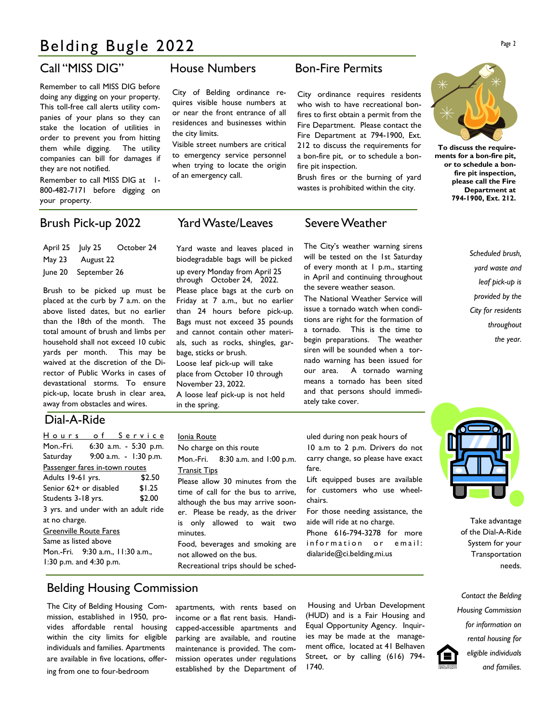# Belding Bugle 2022

Remember to call MISS DIG before doing any digging on your property. This toll-free call alerts utility companies of your plans so they can stake the location of utilities in order to prevent you from hitting them while digging. The utility companies can bill for damages if they are not notified.

Remember to call MISS DIG at 1- 800-482-7171 before digging on your property.

# Brush Pick-up 2022 Yard Waste/Leaves Severe Weather

April 25 July 25 October 24 May 23 August 22 June 20 September 26

Brush to be picked up must be placed at the curb by 7 a.m. on the above listed dates, but no earlier than the 18th of the month. The total amount of brush and limbs per household shall not exceed 10 cubic yards per month. This may be waived at the discretion of the Director of Public Works in cases of devastational storms. To ensure pick-up, locate brush in clear area, away from obstacles and wires.

#### Dial-A-Ride

| Hours of Service                    |  |  |        |        |  |
|-------------------------------------|--|--|--------|--------|--|
| Mon.-Fri. 6:30 a.m. - 5:30 p.m.     |  |  |        |        |  |
| Saturday 9:00 a.m. - 1:30 p.m.      |  |  |        |        |  |
| Passenger fares in-town routes      |  |  |        |        |  |
| Adults 19-61 yrs.                   |  |  |        | \$2.50 |  |
| Senior 62+ or disabled<br>\$1.25    |  |  |        |        |  |
| Students 3-18 yrs.                  |  |  | \$2.00 |        |  |
| 3 yrs. and under with an adult ride |  |  |        |        |  |
| at no charge.                       |  |  |        |        |  |
| <b>Greenville Route Fares</b>       |  |  |        |        |  |
| Same as listed above                |  |  |        |        |  |
| Mon.-Fri. 9:30 a.m., 11:30 a.m.,    |  |  |        |        |  |
| 1:30 p.m. and $4:30$ p.m.           |  |  |        |        |  |
|                                     |  |  |        |        |  |

## Call "MISS DIG" House Numbers Bon-Fire Permits

City of Belding ordinance requires visible house numbers at or near the front entrance of all residences and businesses within the city limits.

Visible street numbers are critical to emergency service personnel when trying to locate the origin of an emergency call.

City ordinance requires residents who wish to have recreational bonfires to first obtain a permit from the Fire Department. Please contact the Fire Department at 794-1900, Ext. 212 to discuss the requirements for a bon-fire pit, or to schedule a bonfire pit inspection.

Brush fires or the burning of yard wastes is prohibited within the city.

The City's weather warning sirens will be tested on the 1st Saturday of every month at I p.m., starting in April and continuing throughout the severe weather season. The National Weather Service will issue a tornado watch when conditions are right for the formation of a tornado. This is the time to begin preparations. The weather siren will be sounded when a tornado warning has been issued for our area. A tornado warning means a tornado has been sited and that persons should immedi-



**To discuss the requirements for a bon-fire pit, or to schedule a bonfire pit inspection, please call the Fire Department at 794-1900, Ext. 212.**

> *Scheduled brush, yard waste and leaf pick-up is provided by the City for residents throughout the year.*

Yard waste and leaves placed in biodegradable bags will be picked up every Monday from April 25 through October 24, 2022. Please place bags at the curb on Friday at 7 a.m., but no earlier than 24 hours before pick-up. Bags must not exceed 35 pounds and cannot contain other materials, such as rocks, shingles, garbage, sticks or brush. Loose leaf pick-up will take place from October 10 through November 23, 2022. A loose leaf pick-up is not held in the spring.

#### Ionia Route

No charge on this route

Mon.-Fri. 8:30 a.m. and 1:00 p.m. Transit Tips

Please allow 30 minutes from the time of call for the bus to arrive, although the bus may arrive sooner. Please be ready, as the driver is only allowed to wait two minutes.

Food, beverages and smoking are not allowed on the bus.

Recreational trips should be sched-

uled during non peak hours of 10 a.m to 2 p.m. Drivers do not carry change, so please have exact fare.

ately take cover.

Lift equipped buses are available for customers who use wheelchairs.

For those needing assistance, the aide will ride at no charge. Phone 616-794-3278 for more

information or email: dialaride@ci.belding.mi.us

Take advantage

of the Dial-A-Ride System for your Transportation needs.

*Contact the Belding Housing Commission for information on rental housing for eligible individuals and families.*

# Belding Housing Commission

The City of Belding Housing Commission, established in 1950, provides affordable rental housing within the city limits for eligible individuals and families. Apartments are available in five locations, offering from one to four-bedroom

apartments, with rents based on income or a flat rent basis. Handicapped-accessible apartments and parking are available, and routine maintenance is provided. The commission operates under regulations established by the Department of

Housing and Urban Development (HUD) and is a Fair Housing and Equal Opportunity Agency. Inquiries may be made at the management office, located at 41 Belhaven Street, or by calling (616) 794- 1740.